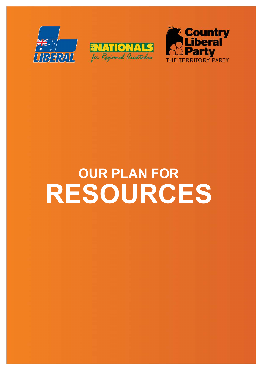





# **OUR PLAN FOR RESOURCES**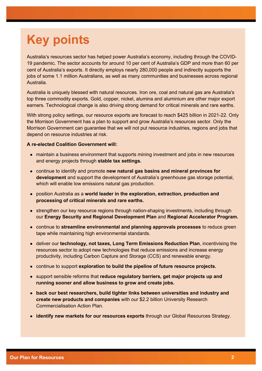# **Key points**

Australia's resources sector has helped power Australia's economy, including through the COVID-19 pandemic. The sector accounts for around 10 per cent of Australia's GDP and more than 60 per cent of Australia's exports. It directly employs nearly 280,000 people and indirectly supports the jobs of some 1.1 million Australians, as well as many communities and businesses across regional Australia.

Australia is uniquely blessed with natural resources. Iron ore, coal and natural gas are Australia's top three commodity exports. Gold, copper, nickel, alumina and aluminium are other major export earners. Technological change is also driving strong demand for critical minerals and rare earths.

With strong policy settings, our resource exports are forecast to reach \$425 billion in 2021-22. Only the Morrison Government has a plan to support and grow Australia's resources sector. Only the Morrison Government can guarantee that we will not put resource industries, regions and jobs that depend on resource industries at risk.

- maintain a business environment that supports mining investment and jobs in new resources and energy projects through **stable tax settings.**
- continue to identify and promote **new natural gas basins and mineral provinces for development** and support the development of Australia's greenhouse gas storage potential, which will enable low emissions natural gas production.
- position Australia as a **world leader in the exploration, extraction, production and processing of critical minerals and rare earths.**
- strengthen our key resource regions through nation-shaping investments, including through our **Energy Security and Regional Development Plan** and **Regional Accelerator Program.**
- continue to **streamline environmental and planning approvals processes** to reduce green tape while maintaining high environmental standards.
- deliver our **technology, not taxes, Long Term Emissions Reduction Plan**, incentivising the resources sector to adopt new technologies that reduce emissions and increase energy productivity, including Carbon Capture and Storage (CCS) and renewable energy.
- continue to support **exploration to build the pipeline of future resource projects.**
- support sensible reforms that **reduce regulatory barriers, get major projects up and running sooner and allow business to grow and create jobs.**
- **back our best researchers, build tighter links between universities and industry and create new products and companies** with our \$2.2 billion University Research Commercialisation Action Plan.
- **identify new markets for our resources exports** through our Global Resources Strategy.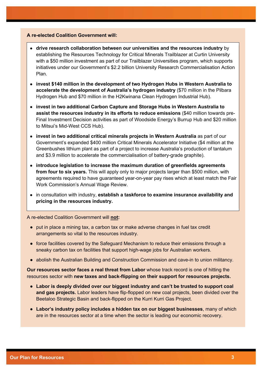#### **A re-elected Coalition Government will:**

- **drive research collaboration between our universities and the resources industry** by establishing the Resources Technology for Critical Minerals Trailblazer at Curtin University with a \$50 million investment as part of our Trailblazer Universities program, which supports initiatives under our Government's \$2.2 billion University Research Commercialisation Action Plan.
- **invest \$140 million in the development of two Hydrogen Hubs in Western Australia to accelerate the development of Australia's hydrogen industry** (\$70 million in the Pilbara Hydrogen Hub and \$70 million in the H2Kwinana Clean Hydrogen Industrial Hub).
- **invest in two additional Carbon Capture and Storage Hubs in Western Australia to assist the resources industry in its efforts to reduce emissions** (\$40 million towards pre-Final Investment Decision activities as part of Woodside Energy's Burrup Hub and \$20 million to Mitsui's Mid-West CCS Hub).
- **invest in two additional critical minerals projects in Western Australia** as part of our Government's expanded \$400 million Critical Minerals Accelerator Initiative (\$4 million at the Greenbushes lithium plant as part of a project to increase Australia's production of tantalum and \$3.9 million to accelerate the commercialisation of battery-grade graphite).
- **introduce legislation to increase the maximum duration of greenfields agreements from four to six years.** This will apply only to major projects larger than \$500 million, with agreements required to have guaranteed year-on-year pay rises which at least match the Fair Work Commission's Annual Wage Review.
- in consultation with industry, **establish a taskforce to examine insurance availability and pricing in the resources industry.**

A re-elected Coalition Government will **not:**

- put in place a mining tax, a carbon tax or make adverse changes in fuel tax credit arrangements so vital to the resources industry.
- force facilities covered by the Safeguard Mechanism to reduce their emissions through a sneaky carbon tax on facilities that support high-wage jobs for Australian workers.
- abolish the Australian Building and Construction Commission and cave-in to union militancy.

**Our resources sector faces a real threat from Labor** whose track record is one of hitting the resources sector with **new taxes and back-flipping on their support for resources projects.**

- **Labor is deeply divided over our biggest industry and can't be trusted to support coal and gas projects.** Labor leaders have flip-flopped on new coal projects, been divided over the Beetaloo Strategic Basin and back-flipped on the Kurri Kurri Gas Project.
- **Labor's industry policy includes a hidden tax on our biggest businesses**, many of which are in the resources sector at a time when the sector is leading our economic recovery.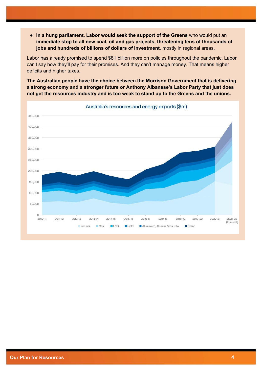● **In a hung parliament, Labor would seek the support of the Greens** who would put an **immediate stop to all new coal, oil and gas projects, threatening tens of thousands of jobs and hundreds of billions of dollars of investment**, mostly in regional areas.

Labor has already promised to spend \$81 billion more on policies throughout the pandemic. Labor can't say how they'll pay for their promises. And they can't manage money. That means higher deficits and higher taxes.

**The Australian people have the choice between the Morrison Government that is delivering a strong economy and a stronger future or Anthony Albanese's Labor Party that just does not get the resources industry and is too weak to stand up to the Greens and the unions.**



Australia's resources and energy exports (\$m)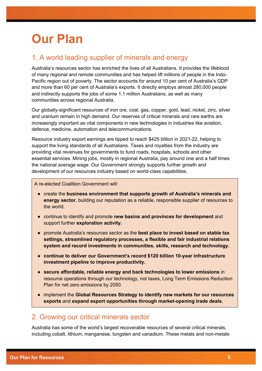# **Our Plan**

## 1. A world leading supplier of minerals and energy

Australia's resources sector has enriched the lives of all Australians. It provides the lifeblood of many regional and remote communities and has helped lift millions of people in the Indo-Pacific region out of poverty. The sector accounts for around 10 per cent of Australia's GDP and more than 60 per cent of Australia's exports. It directly employs almost 280,000 people and indirectly supports the jobs of some 1.1 million Australians, as well as many communities across regional Australia.

Our globally-significant resources of iron ore, coal, gas, copper, gold, lead, nickel, zinc, silver and uranium remain in high demand. Our reserves of critical minerals and rare earths are increasingly important as vital components in new technologies in industries like aviation, defence, medicine, automation and telecommunications.

Resource industry export earnings are tipped to reach \$425 billion in 2021-22, helping to support the living standards of all Australians. Taxes and royalties from the industry are providing vital revenues for governments to fund roads, hospitals, schools and other essential services. Mining jobs, mostly in regional Australia, pay around one and a half times the national average wage. Our Government strongly supports further growth and development of our resources industry based on world-class capabilities.

A re-elected Coalition Government will:

- create the **business environment that supports growth of Australia's minerals and energy sector**, building our reputation as a reliable, responsible supplier of resources to the world.
- continue to identify and promote **new basins and provinces for development** and support further **exploration activity.**
- promote Australia's resources sector as the **best place to invest based on stable tax settings, streamlined regulatory processes, a flexible and fair industrial relations system and record investments in communities, skills, research and technology.**
- **continue to deliver our Government's record \$120 billion 10-year infrastructure investment pipeline to improve productivity.**
- **secure affordable, reliable energy and back technologies to lower emissions** in resource operations through our technology, not taxes, Long Term Emissions Reduction Plan for net zero emissions by 2050.
- implement the **Global Resources Strategy to identify new markets for our resources exports** and **expand export opportunities through market-opening trade deals.**

### 2. Growing our critical minerals sector

Australia has some of the world's largest recoverable resources of several critical minerals, including cobalt, lithium, manganese, tungsten and vanadium. These metals and non-metals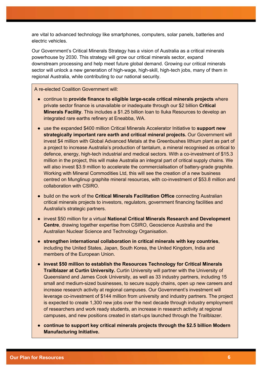are vital to advanced technology like smartphones, computers, solar panels, batteries and electric vehicles.

Our Government's Critical Minerals Strategy has a vision of Australia as a critical minerals powerhouse by 2030. This strategy will grow our critical minerals sector, expand downstream processing and help meet future global demand. Growing our critical minerals sector will unlock a new generation of high-wage, high-skill, high-tech jobs, many of them in regional Australia, while contributing to our national security.

- continue to **provide finance to eligible large-scale critical minerals projects** where private sector finance is unavailable or inadequate through our \$2 billion **Critical Minerals Facility**. This includes a \$1.25 billion loan to Iluka Resources to develop an integrated rare earths refinery at Eneabba, WA.
- use the expanded \$400 million Critical Minerals Accelerator Initiative to **support new strategically important rare earth and critical mineral projects.** Our Government will invest \$4 million with Global Advanced Metals at the Greenbushes lithium plant as part of a project to increase Australia's production of tantalum, a mineral recognised as critical to defence, energy, high-tech industrial and medical sectors. With a co-investment of \$15.3 million in the project, this will make Australia an integral part of critical supply chains. We will also invest \$3.9 million to accelerate the commercialisation of battery-grade graphite. Working with Mineral Commodities Ltd, this will see the creation of a new business centred on Munglinup graphite mineral resources, with co-investment of \$53.8 million and collaboration with CSIRO.
- build on the work of the **Critical Minerals Facilitation Office** connecting Australian critical minerals projects to investors, regulators, government financing facilities and Australia's strategic partners.
- invest \$50 million for a virtual **National Critical Minerals Research and Development Centre**, drawing together expertise from CSIRO, Geoscience Australia and the Australian Nuclear Science and Technology Organisation.
- **strengthen international collaboration in critical minerals with key countries**, including the United States, Japan, South Korea, the United Kingdom, India and members of the European Union.
- **invest \$50 million to establish the Resources Technology for Critical Minerals Trailblazer at Curtin University.** Curtin University will partner with the University of Queensland and James Cook University, as well as 33 industry partners, including 15 small and medium-sized businesses, to secure supply chains, open up new careers and increase research activity at regional campuses. Our Government's investment will leverage co-investment of \$144 million from university and industry partners. The project is expected to create 1,300 new jobs over the next decade through industry employment of researchers and work ready students, an increase in research activity at regional campuses, and new positions created in start-ups launched through the Trailblazer.
- **continue to support key critical minerals projects through the \$2.5 billion Modern Manufacturing Initiative.**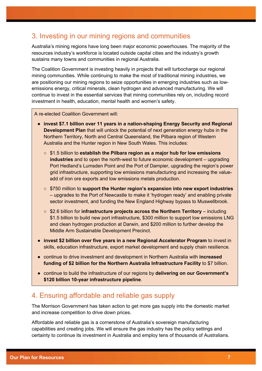### 3. Investing in our mining regions and communities

Australia's mining regions have long been major economic powerhouses. The majority of the resources industry's workforce is located outside capital cities and the industry's growth sustains many towns and communities in regional Australia.

The Coalition Government is investing heavily in projects that will turbocharge our regional mining communities. While continuing to make the most of traditional mining industries, we are positioning our mining regions to seize opportunities in emerging industries such as lowemissions energy, critical minerals, clean hydrogen and advanced manufacturing. We will continue to invest in the essential services that mining communities rely on, including record investment in health, education, mental health and women's safety.

A re-elected Coalition Government will:

- **invest \$7.1 billion over 11 years in a nation-shaping Energy Security and Regional Development Plan** that will unlock the potential of next generation energy hubs in the Northern Territory, North and Central Queensland, the Pilbara region of Western Australia and the Hunter region in New South Wales. This includes:
	- \$1.5 billion to **establish the Pilbara region as a major hub for low emissions industries** and to open the north-west to future economic development – upgrading Port Hedland's Lumsden Point and the Port of Dampier, upgrading the region's power grid infrastructure, supporting low emissions manufacturing and increasing the valueadd of iron ore exports and low emissions metals production.
	- \$750 million to **support the Hunter region's expansion into new export industries** – upgrades to the Port of Newcastle to make it 'hydrogen ready' and enabling private sector investment, and funding the New England Highway bypass to Muswellbrook.
	- \$2.6 billion for **infrastructure projects across the Northern Territory** including \$1.5 billion to build new port infrastructure, \$300 million to support low emissions LNG and clean hydrogen production at Darwin, and \$200 million to further develop the Middle Arm Sustainable Development Precinct.
- **invest \$2 billion over five years in a new Regional Accelerator Program** to invest in skills, education infrastructure, export market development and supply chain resilience.
- continue to drive investment and development in Northern Australia with **increased funding of \$2 billion for the Northern Australia Infrastructure Facility** to \$7 billion.
- continue to build the infrastructure of our regions by **delivering on our Government's \$120 billion 10-year infrastructure pipeline**.

#### 4. Ensuring affordable and reliable gas supply

The Morrison Government has taken action to get more gas supply into the domestic market and increase competition to drive down prices.

Affordable and reliable gas is a cornerstone of Australia's sovereign manufacturing capabilities and creating jobs. We will ensure the gas industry has the policy settings and certainty to continue its investment in Australia and employ tens of thousands of Australians.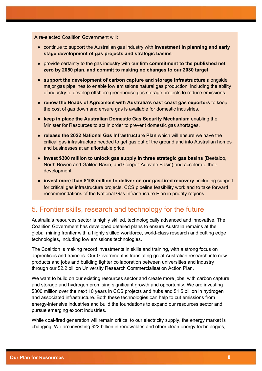A re-elected Coalition Government will:

- continue to support the Australian gas industry with **investment in planning and early stage development of gas projects and strategic basins**.
- provide certainty to the gas industry with our firm **commitment to the published net zero by 2050 plan, and commit to making no changes to our 2030 target**.
- **support the development of carbon capture and storage infrastructure** alongside major gas pipelines to enable low emissions natural gas production, including the ability of industry to develop offshore greenhouse gas storage projects to reduce emissions.
- **renew the Heads of Agreement with Australia's east coast gas exporters** to keep the cost of gas down and ensure gas is available for domestic industries.
- **keep in place the Australian Domestic Gas Security Mechanism** enabling the Minister for Resources to act in order to prevent domestic gas shortages.
- **release the 2022 National Gas Infrastructure Plan** which will ensure we have the critical gas infrastructure needed to get gas out of the ground and into Australian homes and businesses at an affordable price.
- **invest \$300 million to unlock gas supply in three strategic gas basins** (Beetaloo, North Bowen and Galilee Basin, and Cooper-Adavale Basin) and accelerate their development.
- **invest more than \$108 million to deliver on our gas-fired recovery**, including support for critical gas infrastructure projects, CCS pipeline feasibility work and to take forward recommendations of the National Gas Infrastructure Plan in priority regions.

#### 5. Frontier skills, research and technology for the future

Australia's resources sector is highly skilled, technologically advanced and innovative. The Coalition Government has developed detailed plans to ensure Australia remains at the global mining frontier with a highly skilled workforce, world-class research and cutting edge technologies, including low emissions technologies.

The Coalition is making record investments in skills and training, with a strong focus on apprentices and trainees. Our Government is translating great Australian research into new products and jobs and building tighter collaboration between universities and industry through our \$2.2 billion University Research Commercialisation Action Plan.

We want to build on our existing resources sector and create more jobs, with carbon capture and storage and hydrogen promising significant growth and opportunity. We are investing \$300 million over the next 10 years in CCS projects and hubs and \$1.5 billion in hydrogen and associated infrastructure. Both these technologies can help to cut emissions from energy-intensive industries and build the foundations to expand our resources sector and pursue emerging export industries.

While coal-fired generation will remain critical to our electricity supply, the energy market is changing. We are investing \$22 billion in renewables and other clean energy technologies,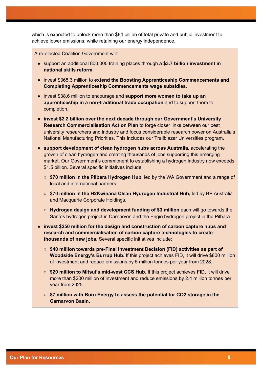which is expected to unlock more than \$84 billion of total private and public investment to achieve lower emissions, while retaining our energy independence.

- support an additional 800,000 training places through a **\$3.7 billion investment in national skills reform**.
- invest \$365.3 million to **extend the Boosting Apprenticeship Commencements and Completing Apprenticeship Commencements wage subsidies**.
- invest \$38.6 million to encourage and **support more women to take up an apprenticeship in a non-traditional trade occupation** and to support them to completion.
- **invest \$2.2 billion over the next decade through our Government's University Research Commercialisation Action Plan** to forge closer links between our best university researchers and industry and focus considerable research power on Australia's National Manufacturing Priorities. This includes our Trailblazer Universities program.
- **support development of clean hydrogen hubs across Australia,** accelerating the growth of clean hydrogen and creating thousands of jobs supporting this emerging market. Our Government's commitment to establishing a hydrogen industry now exceeds \$1.5 billion. Several specific initiatives include:
	- **\$70 million in the Pilbara Hydrogen Hub,** led by the WA Government and a range of local and international partners.
	- **\$70 million in the H2Kwinana Clean Hydrogen Industrial Hub,** led by BP Australia and Macquarie Corporate Holdings.
	- **Hydrogen design and development funding of \$3 million** each will go towards the Santos hydrogen project in Carnarvon and the Engie hydrogen project in the Pilbara.
- **invest \$250 million for the design and construction of carbon capture hubs and research and commercialisation of carbon capture technologies to create thousands of new jobs.** Several specific initiatives include:
	- **\$40 million towards pre-Final Investment Decision (FID) activities as part of Woodside Energy's Burrup Hub.** If this project achieves FID, it will drive \$800 million of investment and reduce emissions by 5 million tonnes per year from 2028.
	- **\$20 million to Mitsui's mid-west CCS Hub.** If this project achieves FID, it will drive more than \$200 million of investment and reduce emissions by 2.4 million tonnes per year from 2025.
	- **\$7 million with Buru Energy to assess the potential for CO2 storage in the Carnarvon Basin.**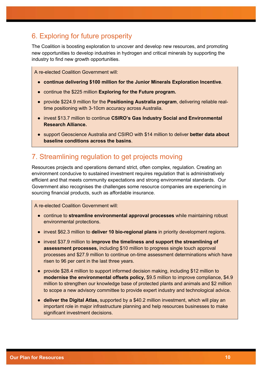### 6. Exploring for future prosperity

The Coalition is boosting exploration to uncover and develop new resources, and promoting new opportunities to develop industries in hydrogen and critical minerals by supporting the industry to find new growth opportunities.

A re-elected Coalition Government will:

- **continue delivering \$100 million for the Junior Minerals Exploration Incentive**.
- continue the \$225 million **Exploring for the Future program.**
- provide \$224.9 million for the **Positioning Australia program**, delivering reliable realtime positioning with 3-10cm accuracy across Australia.
- invest \$13.7 million to continue **CSIRO's Gas Industry Social and Environmental Research Alliance.**
- support Geoscience Australia and CSIRO with \$14 million to deliver **better data about baseline conditions across the basins**.

### 7. Streamlining regulation to get projects moving

Resources projects and operations demand strict, often complex, regulation. Creating an environment conducive to sustained investment requires regulation that is administratively efficient and that meets community expectations and strong environmental standards. Our Government also recognises the challenges some resource companies are experiencing in sourcing financial products, such as affordable insurance.

- continue to **streamline environmental approval processes** while maintaining robust environmental protections.
- invest \$62.3 million to **deliver 10 bio-regional plans** in priority development regions.
- invest \$37.9 million to **improve the timeliness and support the streamlining of assessment processes,** including \$10 million to progress single touch approval processes and \$27.9 million to continue on-time assessment determinations which have risen to 96 per cent in the last three years.
- provide \$28.4 million to support informed decision making, including \$12 million to **modernise the environmental offsets policy,** \$9.5 million to improve compliance, \$4.9 million to strengthen our knowledge base of protected plants and animals and \$2 million to scope a new advisory committee to provide expert industry and technological advice.
- **deliver the Digital Atlas,** supported by a \$40.2 million investment, which will play an important role in major infrastructure planning and help resources businesses to make significant investment decisions.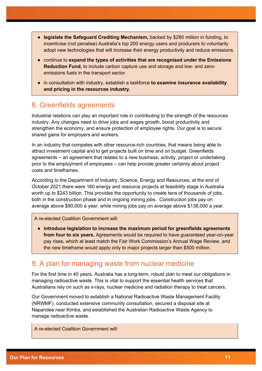- **legislate the Safeguard Crediting Mechanism,** backed by \$280 million in funding, to incentivise (not penalise) Australia's top 200 energy users and producers to voluntarily adopt new technologies that will increase their energy productivity and reduce emissions.
- continue to **expand the types of activities that are recognised under the Emissions Reduction Fund,** to include carbon capture use and storage and low- and zeroemissions fuels in the transport sector.
- in consultation with industry, establish a taskforce **to examine insurance availability and pricing in the resources industry.**

#### 8. Greenfields agreements

Industrial relations can play an important role in contributing to the strength of the resources industry. Any changes need to drive jobs and wages growth, boost productivity and strengthen the economy, and ensure protection of employee rights. Our goal is to secure shared gains for employers and workers.

In an industry that competes with other resource-rich countries, that means being able to attract investment capital and to get projects built on time and on budget. Greenfields agreements – an agreement that relates to a new business, activity, project or undertaking prior to the employment of employees – can help provide greater certainty about project costs and timeframes.

According to the Department of Industry, Science, Energy and Resources, at the end of October 2021 there were 160 energy and resource projects at feasibility stage in Australia worth up to \$243 billion. This provides the opportunity to create tens of thousands of jobs, both in the construction phase and in ongoing mining jobs. Construction jobs pay on average above \$90,000 a year, while mining jobs pay on average above \$138,000 a year.

A re-elected Coalition Government will:

● **introduce legislation to increase the maximum period for greenfields agreements from four to six years.** Agreements would be required to have guaranteed year-on-year pay rises, which at least match the Fair Work Commission's Annual Wage Review, and the new timeframe would apply only to major projects larger than \$500 million.

#### 9. A plan for managing waste from nuclear medicine

For the first time in 40 years, Australia has a long-term, robust plan to meet our obligations in managing radioactive waste. This is vital to support the essential health services that Australians rely on such as x-rays, nuclear medicine and radiation therapy to treat cancers.

Our Government moved to establish a National Radioactive Waste Management Facility (NRWMF), conducted extensive community consultation, secured a disposal site at Napandee near Kimba, and established the Australian Radioactive Waste Agency to manage radioactive waste.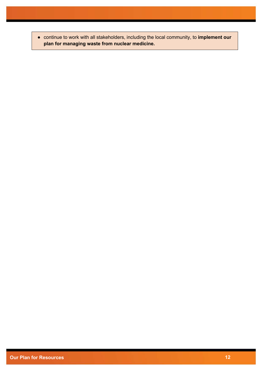● continue to work with all stakeholders, including the local community, to **implement our plan for managing waste from nuclear medicine.**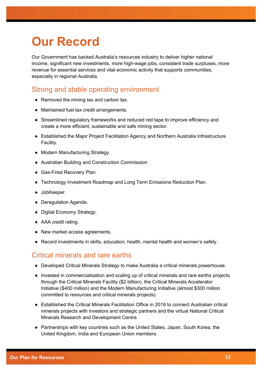# **Our Record**

Our Government has backed Australia's resources industry to deliver higher national income, significant new investments, more high-wage jobs, consistent trade surpluses, more revenue for essential services and vital economic activity that supports communities, especially in regional Australia.

### Strong and stable operating environment

- Removed the mining tax and carbon tax.
- Maintained fuel tax credit arrangements.
- Streamlined regulatory frameworks and reduced red tape to improve efficiency and create a more efficient, sustainable and safe mining sector.
- Established the Major Project Facilitation Agency and Northern Australia Infrastructure Facility.
- Modern Manufacturing Strategy.
- Australian Building and Construction Commission.
- Gas-Fired Recovery Plan.
- Technology Investment Roadmap and Long Term Emissions Reduction Plan.
- JobKeeper.
- Deregulation Agenda.
- Digital Economy Strategy.
- AAA credit rating.
- New market access agreements.
- Record investments in skills, education, health, mental health and women's safety.

#### Critical minerals and rare earths

- Developed Critical Minerals Strategy to make Australia a critical minerals powerhouse.
- Invested in commercialisation and scaling up of critical minerals and rare earths projects through the Critical Minerals Facility (\$2 billion), the Critical Minerals Accelerator Initiative (\$400 million) and the Modern Manufacturing Initiative (almost \$300 million committed to resources and critical minerals projects).
- Established the Critical Minerals Facilitation Office in 2019 to connect Australian critical minerals projects with investors and strategic partners and the virtual National Critical Minerals Research and Development Centre.
- Partnerships with key countries such as the United States, Japan, South Korea, the United Kingdom, India and European Union members.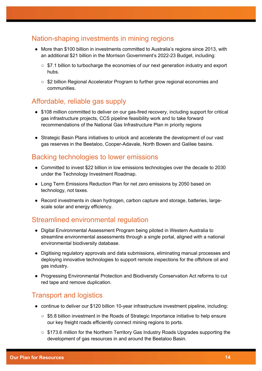### Nation-shaping investments in mining regions

- More than \$100 billion in investments committed to Australia's regions since 2013, with an additional \$21 billion in the Morrison Government's 2022-23 Budget, including:
	- \$7.1 billion to turbocharge the economies of our next generation industry and export hubs.
	- \$2 billion Regional Accelerator Program to further grow regional economies and communities.

#### Affordable, reliable gas supply

- \$108 million committed to deliver on our gas-fired recovery, including support for critical gas infrastructure projects, CCS pipeline feasibility work and to take forward recommendations of the National Gas Infrastructure Plan in priority regions
- Strategic Basin Plans initiatives to unlock and accelerate the development of our vast gas reserves in the Beetaloo, Cooper-Adavale, North Bowen and Galilee basins.

#### Backing technologies to lower emissions

- Committed to invest \$22 billion in low emissions technologies over the decade to 2030 under the Technology Investment Roadmap.
- Long Term Emissions Reduction Plan for net zero emissions by 2050 based on technology, not taxes.
- Record investments in clean hydrogen, carbon capture and storage, batteries, largescale solar and energy efficiency.

### Streamlined environmental regulation

- Digital Environmental Assessment Program being piloted in Western Australia to streamline environmental assessments through a single portal, aligned with a national environmental biodiversity database.
- Digitising regulatory approvals and data submissions, eliminating manual processes and deploying innovative technologies to support remote inspections for the offshore oil and gas industry.
- Progressing Environmental Protection and Biodiversity Conservation Act reforms to cut red tape and remove duplication.

### Transport and logistics

- continue to deliver our \$120 billion 10-year infrastructure investment pipeline, including:
	- \$5.8 billion investment in the Roads of Strategic Importance initiative to help ensure our key freight roads efficiently connect mining regions to ports.
	- \$173.6 million for the Northern Territory Gas Industry Roads Upgrades supporting the development of gas resources in and around the Beetaloo Basin.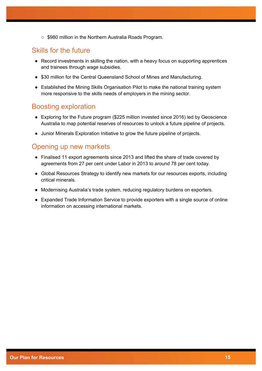○ \$980 million in the Northern Australia Roads Program.

#### Skills for the future

- Record investments in skilling the nation, with a heavy focus on supporting apprentices and trainees through wage subsidies.
- \$30 million for the Central Queensland School of Mines and Manufacturing.
- Established the Mining Skills Organisation Pilot to make the national training system more responsive to the skills needs of employers in the mining sector.

#### Boosting exploration

- Exploring for the Future program (\$225 million invested since 2016) led by Geoscience Australia to map potential reserves of resources to unlock a future pipeline of projects.
- Junior Minerals Exploration Initiative to grow the future pipeline of projects.

#### Opening up new markets

- Finalised 11 export agreements since 2013 and lifted the share of trade covered by agreements from 27 per cent under Labor in 2013 to around 78 per cent today.
- Global Resources Strategy to identify new markets for our resources exports, including critical minerals.
- Modernising Australia's trade system, reducing regulatory burdens on exporters.
- Expanded Trade Information Service to provide exporters with a single source of online information on accessing international markets.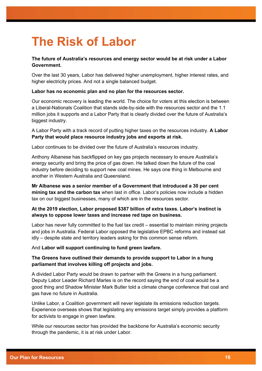# **The Risk of Labor**

#### **The future of Australia's resources and energy sector would be at risk under a Labor Government.**

Over the last 30 years, Labor has delivered higher unemployment, higher interest rates, and higher electricity prices. And not a single balanced budget.

#### **Labor has no economic plan and no plan for the resources sector.**

Our economic recovery is leading the world. The choice for voters at this election is between a Liberal-Nationals Coalition that stands side-by-side with the resources sector and the 1.1 million jobs it supports and a Labor Party that is clearly divided over the future of Australia's biggest industry.

A Labor Party with a track record of putting higher taxes on the resources industry. **A Labor Party that would place resource industry jobs and exports at risk.**

Labor continues to be divided over the future of Australia's resources industry.

Anthony Albanese has backflipped on key gas projects necessary to ensure Australia's energy security and bring the price of gas down. He talked down the future of the coal industry before deciding to support new coal mines. He says one thing in Melbourne and another in Western Australia and Queensland.

**Mr Albanese was a senior member of a Government that introduced a 30 per cent mining tax and the carbon tax** when last in office. Labor's policies now include a hidden tax on our biggest businesses, many of which are in the resources sector.

#### **At the 2019 election, Labor proposed \$387 billion of extra taxes. Labor's instinct is always to oppose lower taxes and increase red tape on business.**

Labor has never fully committed to the fuel tax credit – essential to maintain mining projects and jobs in Australia. Federal Labor opposed the legislative EPBC reforms and instead sat idly – despite state and territory leaders asking for this common sense reform.

And **Labor will support continuing to fund green lawfare.**

#### **The Greens have outlined their demands to provide support to Labor in a hung parliament that involves killing off projects and jobs.**

A divided Labor Party would be drawn to partner with the Greens in a hung parliament. Deputy Labor Leader Richard Marles is on the record saying the end of coal would be a good thing and Shadow Minister Mark Butler told a climate change conference that coal and gas have no future in Australia.

Unlike Labor, a Coalition government will never legislate its emissions reduction targets. Experience overseas shows that legislating any emissions target simply provides a platform for activists to engage in green lawfare.

While our resources sector has provided the backbone for Australia's economic security through the pandemic, it is at risk under Labor.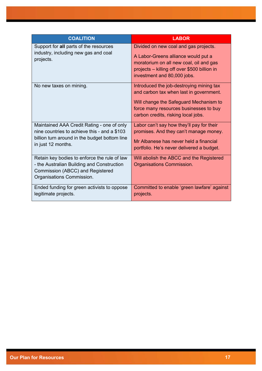| <b>COALITION</b>                                                                                                                                                  | <b>LABOR</b>                                                                                                                                                                                                   |
|-------------------------------------------------------------------------------------------------------------------------------------------------------------------|----------------------------------------------------------------------------------------------------------------------------------------------------------------------------------------------------------------|
| Support for all parts of the resources<br>industry, including new gas and coal<br>projects.                                                                       | Divided on new coal and gas projects.<br>A Labor-Greens alliance would put a<br>moratorium on all new coal, oil and gas<br>projects – killing off over \$500 billion in<br>investment and 80,000 jobs.         |
| No new taxes on mining.                                                                                                                                           | Introduced the job-destroying mining tax<br>and carbon tax when last in government.<br>Will change the Safeguard Mechanism to<br>force many resources businesses to buy<br>carbon credits, risking local jobs. |
| Maintained AAA Credit Rating - one of only<br>nine countries to achieve this - and a \$103<br>billion turn around in the budget bottom line<br>in just 12 months. | Labor can't say how they'll pay for their<br>promises. And they can't manage money.<br>Mr Albanese has never held a financial<br>portfolio. He's never delivered a budget.                                     |
| Retain key bodies to enforce the rule of law<br>- the Australian Building and Construction<br>Commission (ABCC) and Registered<br>Organisations Commission.       | Will abolish the ABCC and the Registered<br>Organisations Commission.                                                                                                                                          |
| Ended funding for green activists to oppose<br>legitimate projects.                                                                                               | Committed to enable 'green lawfare' against<br>projects.                                                                                                                                                       |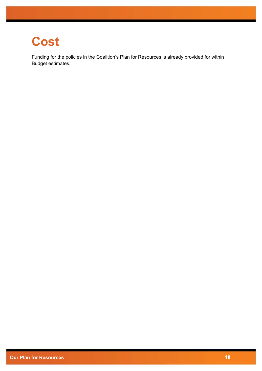# **Cost**

Funding for the policies in the Coalition's Plan for Resources is already provided for within Budget estimates.